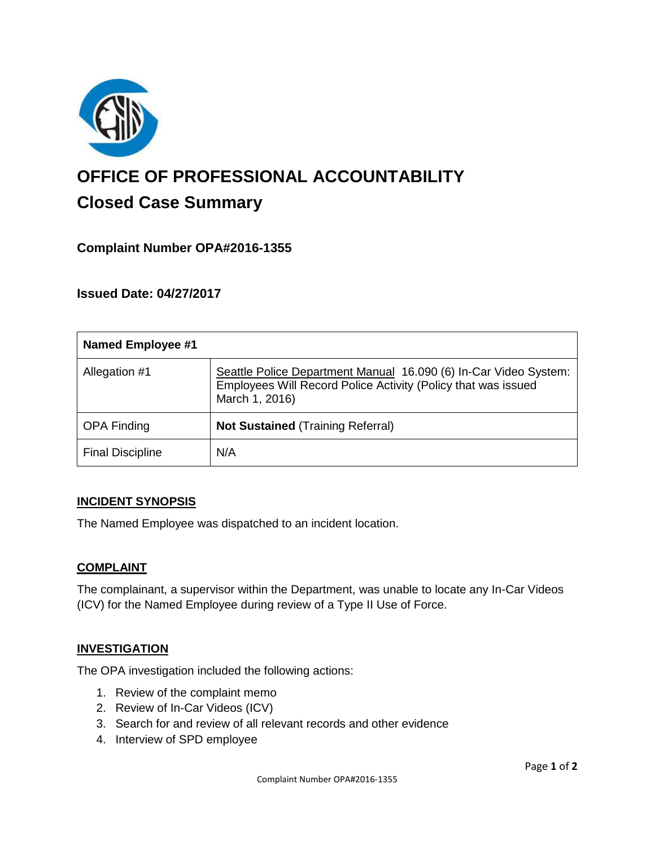

# **OFFICE OF PROFESSIONAL ACCOUNTABILITY Closed Case Summary**

## **Complaint Number OPA#2016-1355**

**Issued Date: 04/27/2017**

| <b>Named Employee #1</b> |                                                                                                                                                     |
|--------------------------|-----------------------------------------------------------------------------------------------------------------------------------------------------|
| Allegation #1            | Seattle Police Department Manual 16.090 (6) In-Car Video System:<br>Employees Will Record Police Activity (Policy that was issued<br>March 1, 2016) |
| <b>OPA Finding</b>       | <b>Not Sustained (Training Referral)</b>                                                                                                            |
| <b>Final Discipline</b>  | N/A                                                                                                                                                 |

#### **INCIDENT SYNOPSIS**

The Named Employee was dispatched to an incident location.

#### **COMPLAINT**

The complainant, a supervisor within the Department, was unable to locate any In-Car Videos (ICV) for the Named Employee during review of a Type II Use of Force.

#### **INVESTIGATION**

The OPA investigation included the following actions:

- 1. Review of the complaint memo
- 2. Review of In-Car Videos (ICV)
- 3. Search for and review of all relevant records and other evidence
- 4. Interview of SPD employee